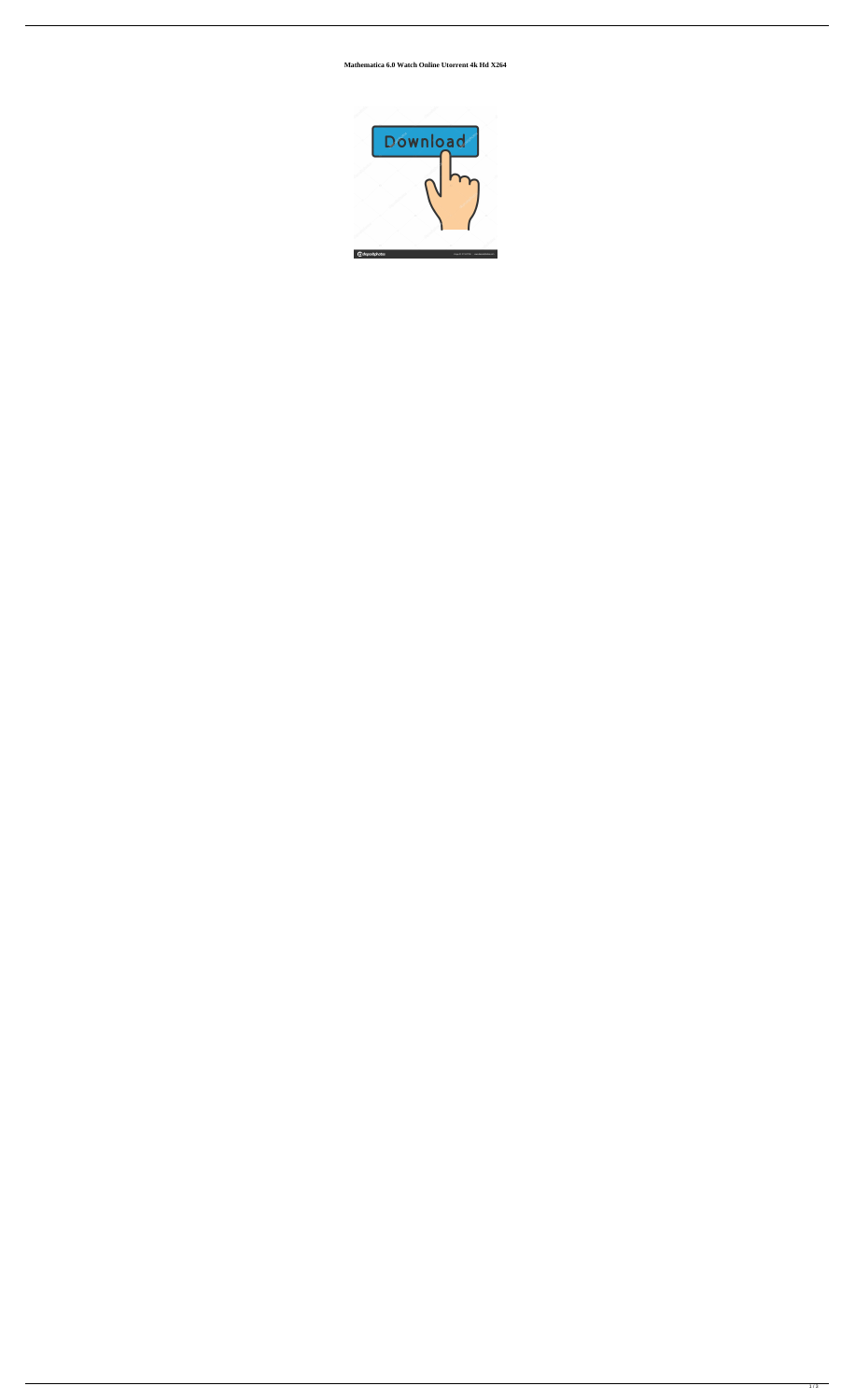**Mathematica 6.0 Watch Online Utorrent 4k Hd X264**

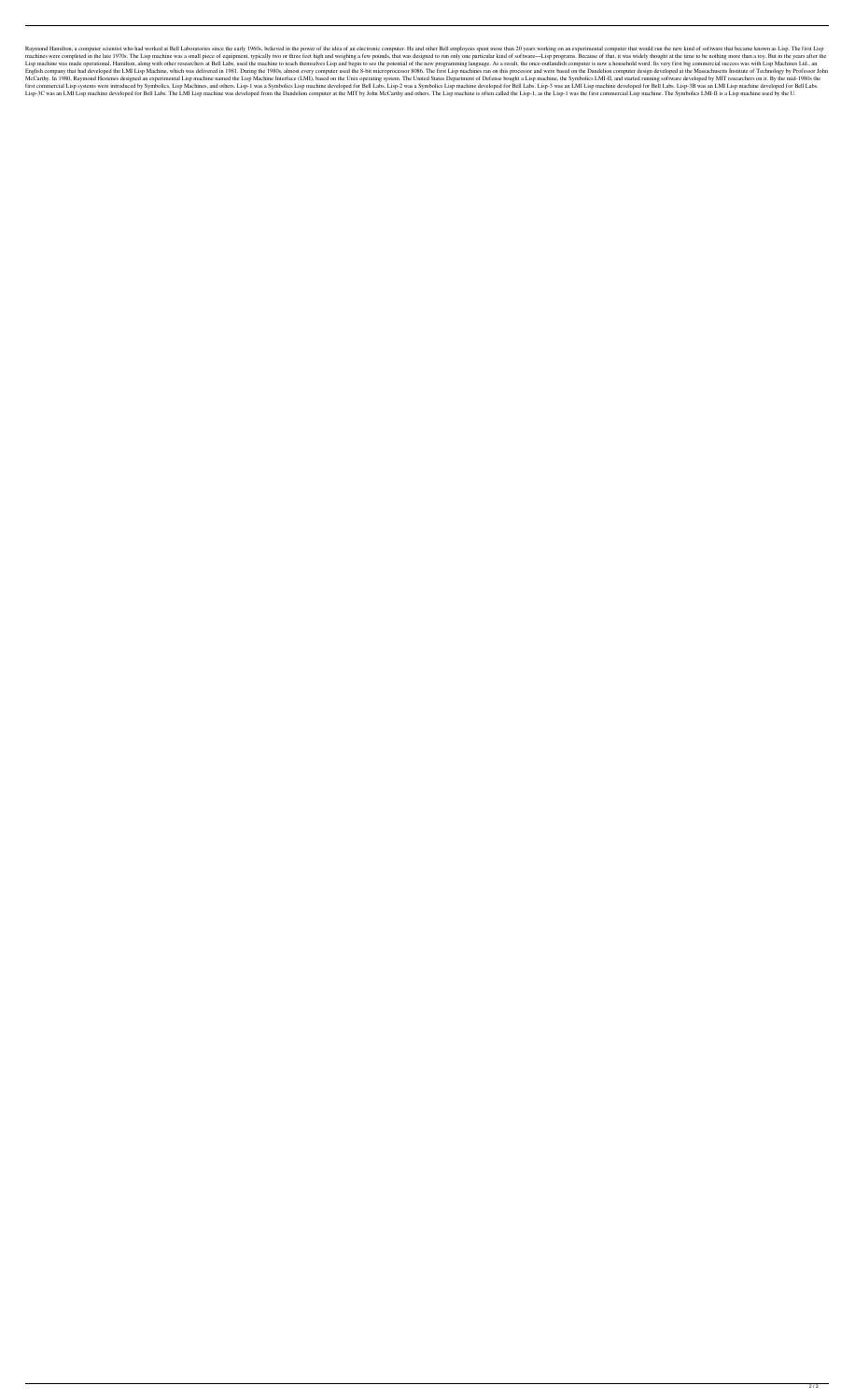Raymond Hamilton, a computer scientist who had worked at Bell Laboratories since the early 1960s, believed in the power of the idea of an electronic computer. He and other Bell employees spent more than 20 years working on machines were completed in the late 1970s. The Lisp machine was a small piece of equipment, typically two or three feet high and weighing a few pounds, that was designed to run only one particular kind of software—Lisp pro Lisp machine was made operational, Hamilton, along with other researchers at Bell Labs, used the machine to teach themselves Lisp and begin to see the potential of the new programming language. As a result, the once-outlan English company that had developed the LMI Lisp Machine, which was delivered in 1981. During the 1980s, almost every computer used the 8-bit microprocessor 8086. The first Lisp machines ran on this processor and were based McCarthy. In 1980, Raymond Hestenes designed an experimental Lisp machine named the Lisp Machine Interface (LMI), based on the Unix operating system. The United States Department of Defense bought a Lisp machine, the Symbo first commercial Lisp systems were introduced by Symbolics, Lisp Machines, and others. Lisp-1 was a Symbolics Lisp machine developed for Bell Labs. Lisp-2 was a Symbolics Lisp machine developed for Bell Labs. Lisp-3 was an Lisp-3C was an LMI Lisp machine developed for Bell Labs. The LMI Lisp machine was developed from the Dandelion computer at the MIT by John McCarthy and others. The Lisp machine is often called the Lisp-1, as the Lisp-1 was